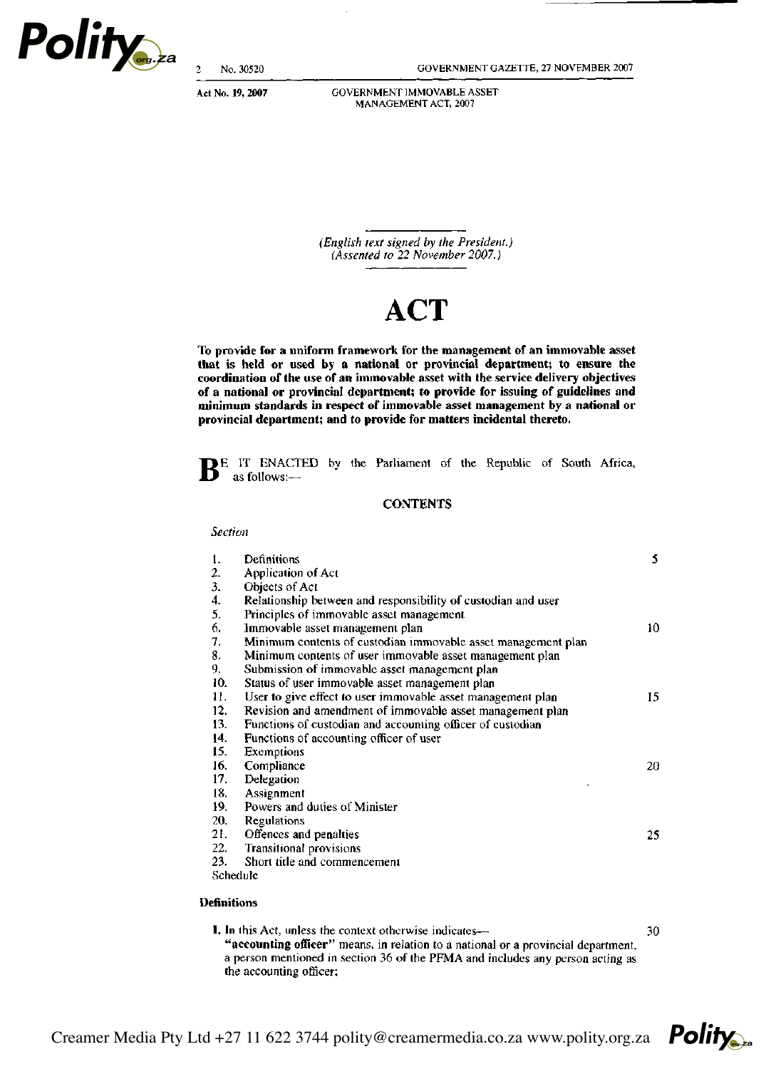

 $\overline{c}$ No. 30520 GOVERNMENT GAZETTE, 27 NOVEMBER 2007

Act No. 19, 2007

GOVERNMENT IMMOVABLE ASSET MANAGEMENT ACT, 2007

(English text signed by the President.) (Assented to 22 November 2007.)

# **ACT**

**To provide for a uniform framework for the management of an immovable asset that is held or used by a national or provincial department; to ensure the coordination of the use of an immovable asset with the service delivery objectives of a national or provincial department; to provide for issuing of guidelines and minimum standards in respect of immovable asset management by a national or provincial department; and to provide for matters incidental thereto.** 

BE IT ENACTED by the Parliament of the Republic of South Africa, as follows:-as follows:—

# **CONTENTS**

### *Section*

| 1.  | Definitions                                                   | 5.  |
|-----|---------------------------------------------------------------|-----|
| 2.  | Application of Act                                            |     |
| 3.  | Objects of Act                                                |     |
| 4.  | Relationship between and responsibility of custodian and user |     |
| 5.  | Principles of immovable asset management                      |     |
| 6.  | Immovable asset management plan                               | 10. |
| 7.  | Minimum contents of custodian immovable asset management plan |     |
| 8.  | Minimum contents of user immovable asset management plan      |     |
| 9.  | Submission of immovable asset management plan                 |     |
| 10. | Status of user immovable asset management plan                |     |
| 11. | User to give effect to user immovable asset management plan   | 15. |
| 12. | Revision and amendment of immovable asset management plan     |     |
| 13. | Functions of custodian and accounting officer of custodian    |     |
| 14. | Functions of accounting officer of user                       |     |
| 15. | Exemptions                                                    |     |
| 16. | Compliance                                                    | 20. |
| 17. | Delegation                                                    |     |
| 18. | Assignment                                                    |     |
| 19. | Powers and duties of Minister                                 |     |
| 20. | Regulations                                                   |     |
| 21. | Offences and penalties                                        | 25. |
| 22. | <b>Transitional provisions</b>                                |     |
| 23. | Short title and commencement                                  |     |
|     | Schedule                                                      |     |
|     |                                                               |     |

# **Definitions**

**1.** In this Act, unless the context otherwise indicates— 30 **"accounting officer"** means, in relation to a national or a provincial department, a person mentioned in section 36 of the PFMA and includes any person acting as the accounting officer;

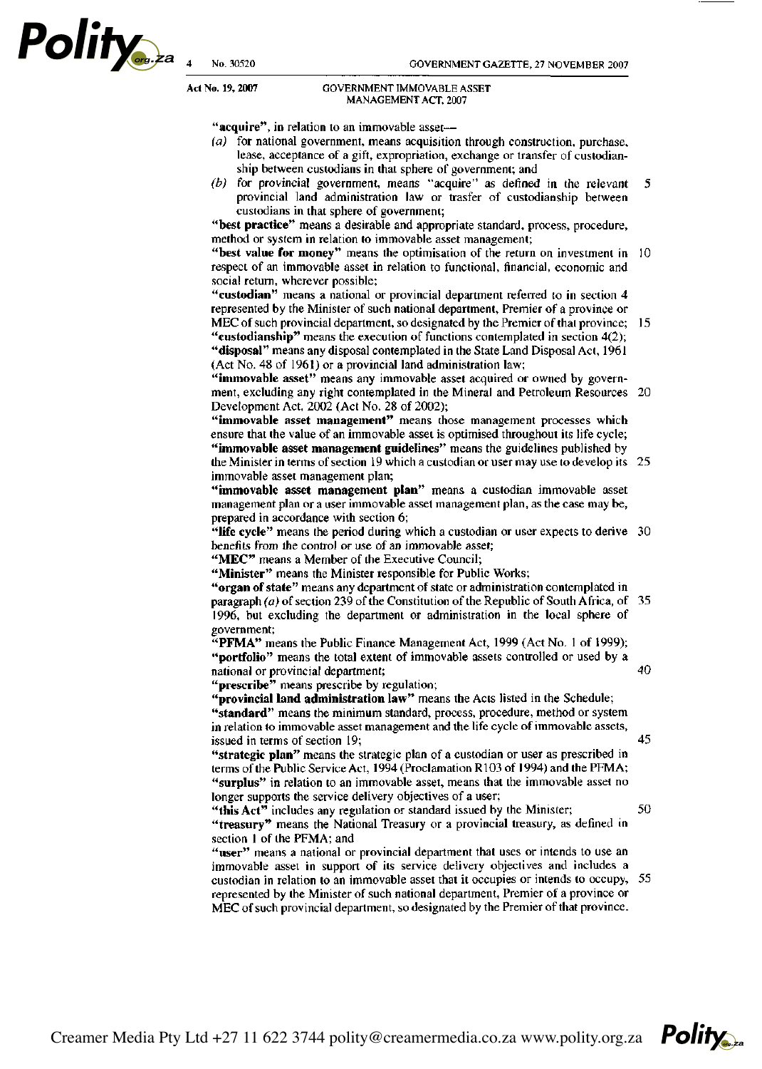**Polity** 

#### **Act No. 19, 2007** GOVERNMENT IMMOVABLE ASSET MANAGEMENT ACT, 2007

"acquire", in relation to an immovable asset-

- *(a)* for national government, means acquisition through construction, purchase, lease, acceptance of a gift, expropriation, exchange or transfer of custodianship between custodians in that sphere of government; and
- *(b)* for provincial government, means "acquire" as defined in the relevant  $\P$ provincial land administration law or trasfer of custodianship between custodians in that sphere of government;

**"best practice"** means a desirable and appropriate standard, process, procedure, method or system in relation to immovable asset management;

**"best value for money"** means the optimisation of the return on investment in respect of an immovable asset in relation to functional, financial, economic and social return, wherever possible;

**"custodian"** means a national or provincial department referred to in section 4 represented by the Minister of such national department, Premier of a province or MEC of such provincial department, so designated by the Premier of that province; 15

**"custodianship"** means the execution of functions contemplated in section 4(2); **"disposal"** means any disposal contemplated in the State Land Disposal Act, 1961 (Act No. 48 of 1961) or a provincial land administration law;

**"immovable asset"** means any immovable asset acquired or owned by government, excluding any right contemplated in the Mineral and Petroleum Resources Development Act, 2002 (Act No. 28 of 2002);

**"immovable asset management"** means those management processes which ensure that the value of an immovable asset is optimised throughout its life cycle; **"immovable asset management guidelines"** means the guidelines published by

the Minister in terms of section 19 which a custodian or user may use to develop its immovable asset management plan;

**"immovable asset management plan"** means a custodian immovable asset management plan or a user immovable asset management plan, as the case may be, prepared in accordance with section 6;

**"life cycle"** means the period during which a custodian or user expects to derive benefits from the control or use of an immovable asset;

"MEC" means a Member of the Executive Council;

**"Minister"** means the Minister responsible for Public Works;

**"organ of state"** means any department of state or administration contemplated in paragraph *(a)* of section 239 of the Constitution of the Republic of South Africa, of 1996, but excluding the department or administration in the local sphere of government;

"PFMA" means the Public Finance Management Act, 1999 (Act No. 1 of 1999); **"portfolio"** means the total extent of immovable assets controlled or used by a national or provincial department;

**"prescribe"** means prescribe by regulation;

**"provincial land administration law"** means the Acts listed in the Schedule; **"standard"** means the minimum standard, process, procedure, method or system in relation to immovable asset management and the life cycle of immovable assets, issued in terms of section 19;

**"strategic plan"** means the strategic plan of a custodian or user as prescribed in terms of the Public Service Act, 1994 (Proclamation R103 of 1994) and the PFMA; **"surplus"** in relation to an immovable asset, means that the immovable asset no longer supports the service delivery objectives of a user;

**"this Act"** includes any regulation or standard issued by the Minister; **"treasury"** means the National Treasury or a provincial treasury, as defined in section 1 of the PFMA; and

**"user"** means a national or provincial department that uses or intends to use an immovable asset in support of its service delivery objectives and includes a custodian in relation to an immovable asset that it occupies or intends to occupy, represented by the Minister of such national department, Premier of a province or MEC of such provincial department, so designated by the Premier of that province.

Creamer Media Pty Ltd +27 11 622 3744 polity@creamermedia.co.za www.polity.org.za



45

50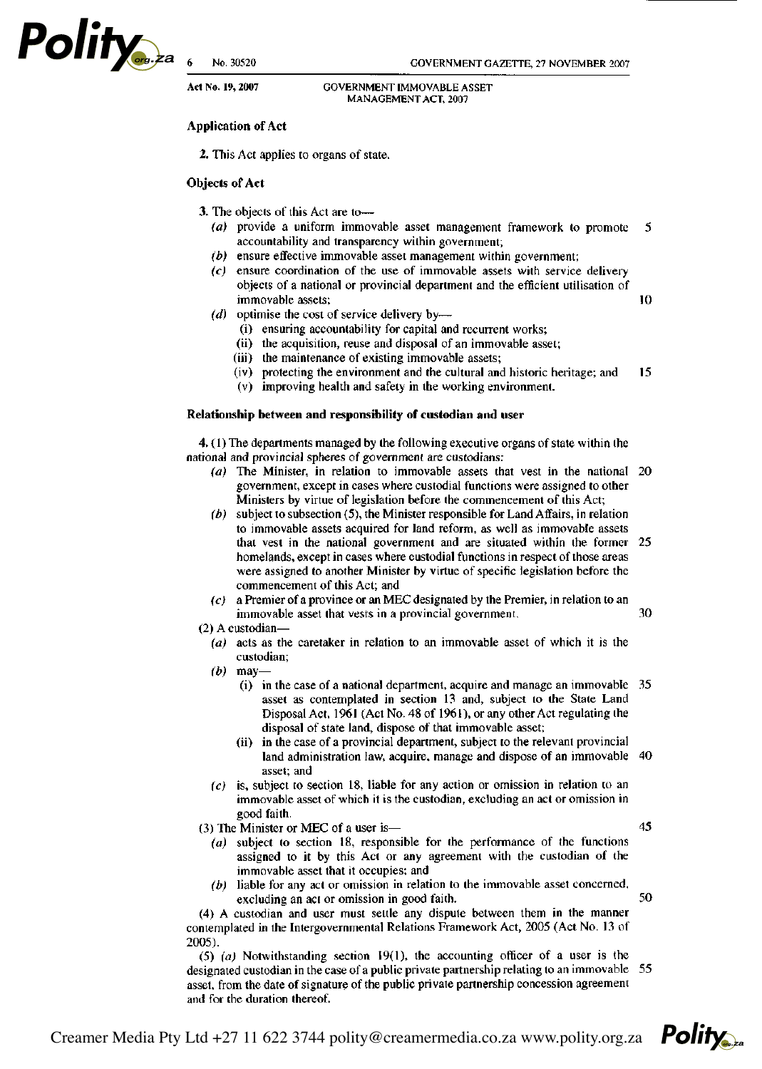

10

30

45

50

**Act No. 19, 2007** GOVERNMENT IMMOVABLE ASSET

# **Application of Act**

# **Objects of Act**

3. The objects of this Act are to-

- (a) provide a uniform immovable asset management framework to promote 5 accountability and transparency within government;
- $(b)$  ensure effective immovable asset management within government;
- $(c)$  ensure coordination of the use of immovable assets with service delivery objects of a national or provincial department and the efficient utilisation of immovable assets;
- (d) optimise the cost of service delivery by—
	- *(i)* ensuring accountability for capital and recurrent works;
	- (ii) the acquisition, reuse and disposal of an immovable asset;
	- (iii) the maintenance of existing immovable assets;
	- (iv) protecting the environment and the cultural and historic heritage; and 15
	- (v) improving health and safety in the working environment.

# **Relationship between and responsibility of custodian and user**

**4.** (1) The departments managed by the following executive organs of state within the national and provincial spheres of government are custodians:

- *(a)* The Minister, in relation to immovable assets that vest in the national government, except in cases where custodial functions were assigned to other Ministers by virtue of legislation before the commencement of this Act;
- *(b)* subject to subsection (5), the Minister responsible for Land Affairs, in relation to immovable assets acquired for land reform, as well as immovable assets that vest in the national government and are situated within the former 25 homelands, except in cases where custodial functions in respect of those areas were assigned to another Minister by virtue of specific legislation before the commencement of this Act; and
- *(c)* a Premier of a province or an MEC designated by the Premier, in relation to an immovable asset that vests in a provincial government.
- (2) A custodian—
	- *(a)* acts as the caretaker in relation to an immovable asset of which it is the custodian;
	- *(b)* may—
		- (i) in the case of a national department, acquire and manage an immovable 35 asset as contemplated in section 13 and, subject to the State Land Disposal Act, 1961 (Act No. 48 of 1961), or any other Act regulating the disposal of state land, dispose of that immovable asset;
		- (ii) in the case of a provincial department, subject to the relevant provincial land administration law, acquire, manage and dispose of an immovable 40 asset; and
	- *(c)* is, subject to section 18, liable for any action or omission in relation to an immovable asset of which it is the custodian, excluding an act or omission in good faith.
- (3) The Minister or MEC of a user is—
	- *(a)* subject to section 18, responsible for the performance of the functions assigned to it by this Act or any agreement with the custodian of the immovable asset that it occupies; and
	- *(b)* liable for any act or omission in relation to the immovable asset concerned, excluding an act or omission in good faith.

(4) A custodian and user must settle any dispute between them in the manner contemplated in the Intergovernmental Relations Framework Act, 2005 (Act No. 13 of 2005).

(5) *(a)* Notwithstanding section 19(1), the accounting officer of a user is the designated custodian in the case of a public private partnership relating to an immovable 55 asset, from the date of signature of the public private partnership concession agreement and for the duration thereof.

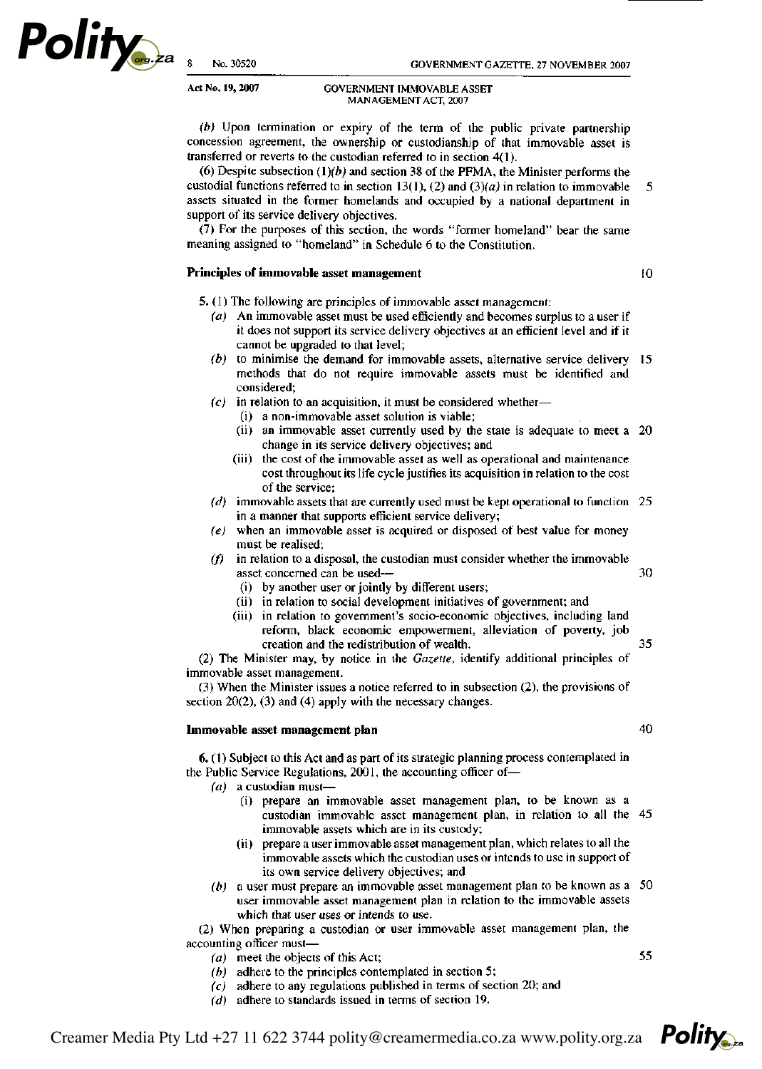### **Act No. 19, 2007** GOVERNMENT IMMOVABLE ASSET MANAGEMENT ACT, 2007

*(b)* Upon termination or expiry of the term of the public private partnership concession agreement, the ownership or custodianship of that immovable asset is transferred or reverts to the custodian referred to in section 4(1).

(6) Despite subsection (1)*(b)* and section 38 of the PFMA, the Minister performs the custodial functions referred to in section 13(1), (2) and *(3)(a)* in relation to immovable  $\mathfrak{s}$ assets situated in the former homelands and occupied by a national department in support of its service delivery objectives.

(7) For the purposes of this section, the words "former homeland" bear the same meaning assigned to "homeland" in Schedule 6 to the Constitution.

# **Principles of immovable asset management**

 $\overline{10}$ 

- **5.** (1) The following are principles of immovable asset management:
	- *(a)* An immovable asset must be used efficiently and becomes surplus to a user if it does not support its service delivery objectives at an efficient level and if it cannot be upgraded to that level;
	- *(b)* to minimise the demand for immovable assets, alternative service delivery methods that do not require immovable assets must be identified and considered;
	- *(c)* in relation to an acquisition, it must be considered whether—
		- (i) a non-immovable asset solution is viable;
		- (ii) an immovable asset currently used by the state is adequate to meet a 20 change in its service delivery objectives; and
		- (iii) the cost of the immovable asset as well as operational and maintenance cost throughout its life cycle justifies its acquisition in relation to the cost of the service;
	- *(d)* immovable assets that are currently used must be kept operational to function in a manner that supports efficient service delivery;
	- *(e)* when an immovable asset is acquired or disposed of best value for money must be realised;
	- *(f)* in relation to a disposal, the custodian must consider whether the immovable asset concerned can be used—
		- (i) by another user or jointly by different users;
		- (ii) in relation to social development initiatives of government; and
		- (iii) in relation to government's socio-economic objectives, including land reform, black economic empowerment, alleviation of poverty, job 35 creation and the redistribution of wealth.

(2) The Minister may, by notice in the *Gazette,* identify additional principles of immovable asset management.

(3) When the Minister issues a notice referred to in subsection (2), the provisions of section 20(2), (3) and (4) apply with the necessary changes.

#### **Immovable asset management plan**

40

30

**6.** (1) Subject to this Act and as part of its strategic planning process contemplated in the Public Service Regulations, 2001, the accounting officer of—

- *(a)* a custodian must—
	- (i) prepare an immovable asset management plan, to be known as a custodian immovable asset management plan, in relation to all the immovable assets which are in its custody;
	- (ii) prepare a user immovable asset management plan, which relates to all the immovable assets which the custodian uses or intends to use in support of its own service delivery objectives; and
- *(b)* a user must prepare an immovable asset management plan to be known as a user immovable asset management plan in relation to the immovable assets which that user uses or intends to use.

(2) When preparing a custodian or user immovable asset management plan, the accounting officer must—

- *(a)* meet the objects of this Act;
- *(b)* adhere to the principles contemplated in section 5;
- *(c)* adhere to any regulations published in terms of section 20; and
- *(d)* adhere to standards issued in terms of section 19.



55

**Polity**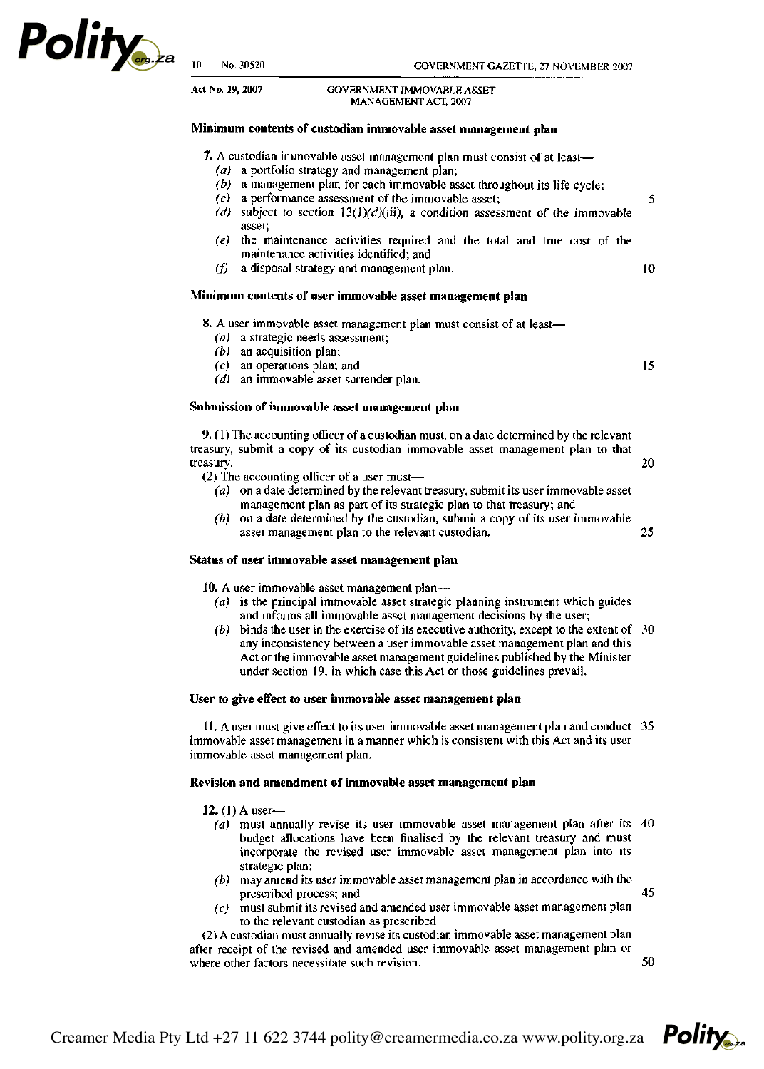

5

10

15

**Act No. 19, 2007** GOVERNMENT IMMOVABLE ASSET MANAGEMENT ACT, 2007

# **Minimum contents of custodian immovable asset management plan**

**7.** A custodian immovable asset management plan must consist of at least—

- *(a)* a portfolio strategy and management plan;
- *(b)* a management plan for each immovable asset throughout its life cycle;
- *(c)* a performance assessment of the immovable asset;
- (d) subject to section  $13(1)(d)(iii)$ , a condition assessment of the immovable asset;
- *(e)* the maintenance activities required and the total and true cost of the maintenance activities identified; and
- $(f)$  a disposal strategy and management plan.

# **Minimum contents of user immovable asset management plan**

**8.** A user immovable asset management plan must consist of at least—

- *(a)* a strategic needs assessment;
- *(b)* an acquisition plan;
- *(c)* an operations plan; and
- *(d)* an immovable asset surrender plan.

# **Submission of immovable asset management plan**

**9.** (1) The accounting officer of a custodian must, on a date determined by the relevant treasury, submit a copy of its custodian immovable asset management plan to that treasury. 20

- (2) The accounting officer of a user must—
	- *(a)* on a date determined by the relevant treasury, submit its user immovable asset management plan as part of its strategic plan to that treasury; and
	- *(b)* on a date determined by the custodian, submit a copy of its user immovable asset management plan to the relevant custodian. 25

#### **Status of user immovable asset management plan**

**10.** A user immovable asset management plan—

- *(a)* is the principal immovable asset strategic planning instrument which guides and informs all immovable asset management decisions by the user;
- *(b)* binds the user in the exercise of its executive authority, except to the extent of 30 any inconsistency between a user immovable asset management plan and this Act or the immovable asset management guidelines published by the Minister under section 19, in which case this Act or those guidelines prevail.

### **User to give effect to user immovable asset management plan**

**11.** A user must give effect to its user immovable asset management plan and conduct 35 immovable asset management in a manner which is consistent with this Act and its user immovable asset management plan.

#### **Revision and amendment of immovable asset management plan**

**12.** (1) A user—

- *(a)* must annually revise its user immovable asset management plan after its budget allocations have been finalised by the relevant treasury and must incorporate the revised user immovable asset management plan into its strategic plan;
- *(b)* may amend its user immovable asset management plan in accordance with the prescribed process; and
- *(c)* must submit its revised and amended user immovable asset management plan to the relevant custodian as prescribed.

(2) A custodian must annually revise its custodian immovable asset management plan after receipt of the revised and amended user immovable asset management plan or where other factors necessitate such revision.

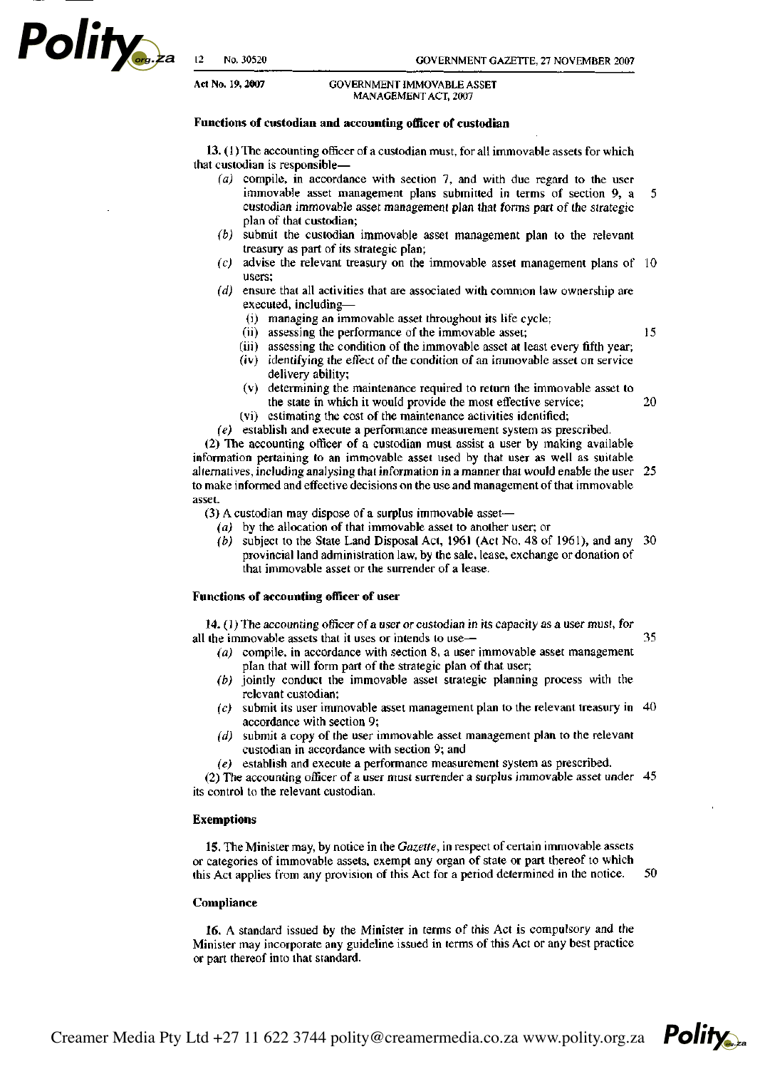**Polity** 

15

20

**Polity** 

**Act No. 19,2007** GOVERNMENT IMMOVABLE ASSET MANAGEMENT ACT, 2007

#### **Functions of custodian and accounting officer of custodian**

**13.** (1) The accounting officer of a custodian must, for all immovable assets for which that custodian is responsible—

- *(a)* compile, in accordance with section 7, and with due regard to the user immovable asset management plans submitted in terms of section 9, a 5 custodian immovable asset management plan that forms part of the strategic plan of that custodian;
- *(b)* submit the custodian immovable asset management plan to the relevant treasury as part of its strategic plan;
- *(c)* advise the relevant treasury on the immovable asset management plans of users;
- *(d)* ensure that all activities that are associated with common law ownership are executed, including—
	- (i) managing an immovable asset throughout its life cycle;
	- (ii) assessing the performance of the immovable asset;
	- (iii) assessing the condition of the immovable asset at least every fifth year;
	- (iv) identifying the effect of the condition of an immovable asset on service delivery ability;
	- (v) determining the maintenance required to return the immovable asset to the state in which it would provide the most effective service;
	- (vi) estimating the cost of the maintenance activities identified;
- *(e)* establish and execute a performance measurement system as prescribed.

(2) The accounting officer of a custodian must assist a user by making available information pertaining to an immovable asset used by that user as well as suitable alternatives, including analysing that information in a manner that would enable the user to make informed and effective decisions on the use and management of that immovable asset.

(3) A custodian may dispose of a surplus immovable asset—

- *(a)* by the allocation of that immovable asset to another user; or
- *(b)* subject to the State Land Disposal Act, 1961 (Act No. 48 of 1961), and any provincial land administration law, by the sale, lease, exchange or donation of that immovable asset or the surrender of a lease.

### **Functions** of **accounting officer** of **user**

14. (1) The accounting officer of a user or custodian in its capacity as a user must, for all the immovable assets that it uses or intends to use— 35

- *(a)* compile, in accordance with section 8, a user immovable asset management plan that will form part of the strategic plan of that user;
- *(b)* jointly conduct the immovable asset strategic planning process with the relevant custodian;
- *(c)* submit its user immovable asset management plan to the relevant treasury in accordance with section 9;
- *(d)* submit a copy of the user immovable asset management plan to the relevant custodian in accordance with section 9; and
- *(e)* establish and execute a performance measurement system as prescribed.

(2) The accounting officer of a user must surrender a surplus immovable asset under its control to the relevant custodian.

#### Exemptions

15. The Minister may, by notice in the *Gazette,* in respect of certain immovable assets or categories of immovable assets, exempt any organ of state or part thereof to which this Act applies from any provision of this Act for a period determined in the notice. 50

#### Compliance

16. A standard issued by the Minister in terms of this Act is compulsory and the Minister may incorporate any guideline issued in terms of this Act or any best practice or part thereof into that standard.

Creamer Media Pty Ltd +27 11 622 3744 polity@creamermedia.co.za www.polity.org.za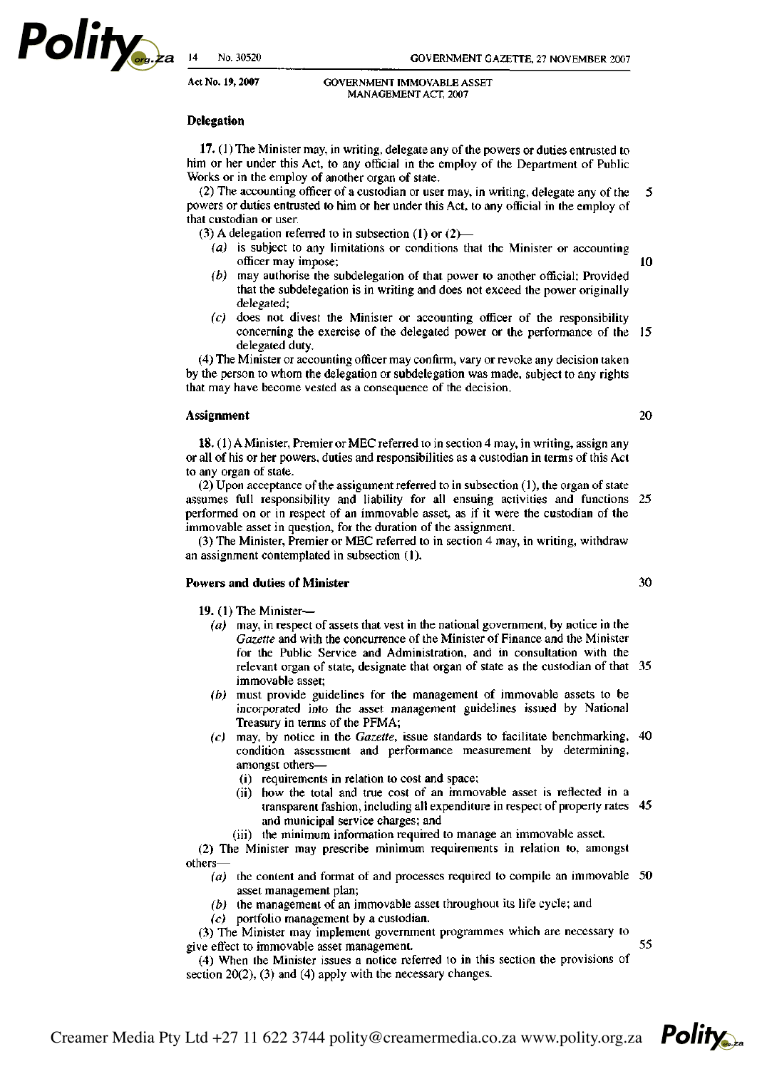**Polity** 

 $10$ 

20

30

**Polity** 

#### **Act No. 19,2007** GOVERNMENT IMMOVABLE ASSET MANAGEMENT ACT, 2007

# **Delegation**

**17.** (1) The Minister may, in writing, delegate any of the powers or duties entrusted to him or her under this Act, to any official in the employ of the Department of Public Works or in the employ of another organ of state.

(2) The accounting officer of a custodian or user may, in writing, delegate any of the 5 powers or duties entrusted to him or her under this Act, to any official in the employ of that custodian or user.

(3) A delegation referred to in subsection (1) or  $(2)$ —

- *(a)* is subject to any limitations or conditions that the Minister or accounting officer may impose;
- *(b)* may authorise the subdelegation of that power to another official: Provided that the subdelegation is in writing and does not exceed the power originally delegated;
- *(c)* does not divest the Minister or accounting officer of the responsibility concerning the exercise of the delegated power or the performance of the 15 delegated duty.

(4) The Minister or accounting officer may confirm, vary or revoke any decision taken by the person to whom the delegation or subdelegation was made, subject to any rights that may have become vested as a consequence of the decision.

### **Assignment**

**18.** (1) A Minister, Premier or MEC referred to in section 4 may, in writing, assign any or all of his or her powers, duties and responsibilities as a custodian in terms of this Act to any organ of state.

(2) Upon acceptance of the assignment referred to in subsection (1), the organ of state assumes full responsibility and liability for all ensuing activities and functions 25 performed on or in respect of an immovable asset, as if it were the custodian of the immovable asset in question, for the duration of the assignment.

(3) The Minister, Premier or MEC referred to in section 4 may, in writing, withdraw an assignment contemplated in subsection **(1).** 

# **Powers and duties of Minister**

**19.** (1) The Minister-

- $(a)$  may, in respect of assets that vest in the national government, by notice in the *Gazette* and with the concurrence of the Minister of Finance and the Minister for the Public Service and Administration, and in consultation with the relevant organ of state, designate that organ of state as the custodian of that 35 immovable asset;
- *(b)* must provide guidelines for the management of immovable assets to be incorporated into the asset management guidelines issued by National Treasury in terms of the PFMA;
- *(c)* may, by notice in the *Gazette,* issue standards to facilitate benchmarking, condition assessment and performance measurement by determining, amongst others—
	- (i) requirements in relation to cost and space;
	- (ii) how the total and true cost of an immovable asset is reflected in a transparent fashion, including all expenditure in respect of property rates and municipal service charges; and
	- (iii) the minimum information required to manage an immovable asset.

(2) The Minister may prescribe minimum requirements in relation to, amongst others—

- *(a)* the content and format of and processes required to compile an immovable asset management plan;
- *(b)* the management of an immovable asset throughout its life cycle; and *(c)* portfolio management by a custodian.

(3) The Minister may implement government programmes which are necessary to 55 give effect to immovable asset management.

(4) When the Minister issues a notice referred to in this section the provisions of section 20(2), (3) and (4) apply with the necessary changes.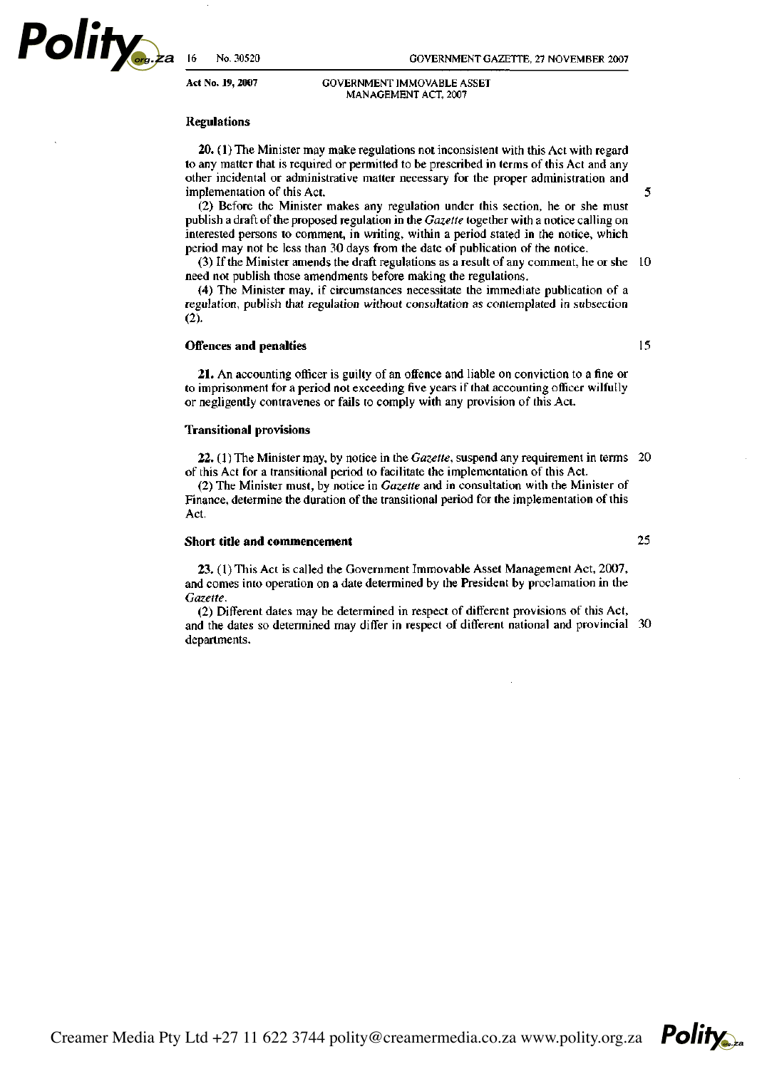**Polity** 

#### **Act No. 19, 2007** GOVERNMENT IMMOVABLE ASSET MANAGEMENT ACT, 2007

# **Regulations**

**20.** (1) The Minister may make regulations not inconsistent with this Act with regard to any matter that is required or permitted to be prescribed in terms of this Act and any other incidental or administrative matter necessary for the proper administration and implementation of this Act.

(2) Before the Minister makes any regulation under this section, he or she must publish a draft of the proposed regulation in the *Gazette* together with a notice calling on interested persons to comment, in writing, within a period stated in the notice, which period may not be less than 30 days from the date of publication of the notice.

(3) If the Minister amends the draft regulations as a result of any comment, he or she need not publish those amendments before making the regulations.

(4) The Minister may, if circumstances necessitate the immediate publication of a regulation, publish that regulation without consultation as contemplated in subsection (2).

# **Offences and penalties**

**21.** An accounting officer is guilty of an offence and liable on conviction to a fine or to imprisonment for a period not exceeding five years if that accounting officer wilfully or negligently contravenes or fails to comply with any provision of this Act.

#### **Transitional provisions**

**22.** (1) The Minister may, by notice in the *Gazette,* suspend any requirement in terms of this Act for a transitional period to facilitate the implementation of this Act.

(2) The Minister must, by notice in *Gazette* and in consultation with the Minister of Finance, determine the duration of the transitional period for the implementation of this Act.

### **Short title and commencement**

**23.** (1) This Act is called the Government Immovable Asset Management Act, 2007, and comes into operation on a date determined by the President by proclamation in the *Gazette.* 

(2) Different dates may be determined in respect of different provisions of this Act, and the dates so determined may differ in respect of different national and provincial departments.